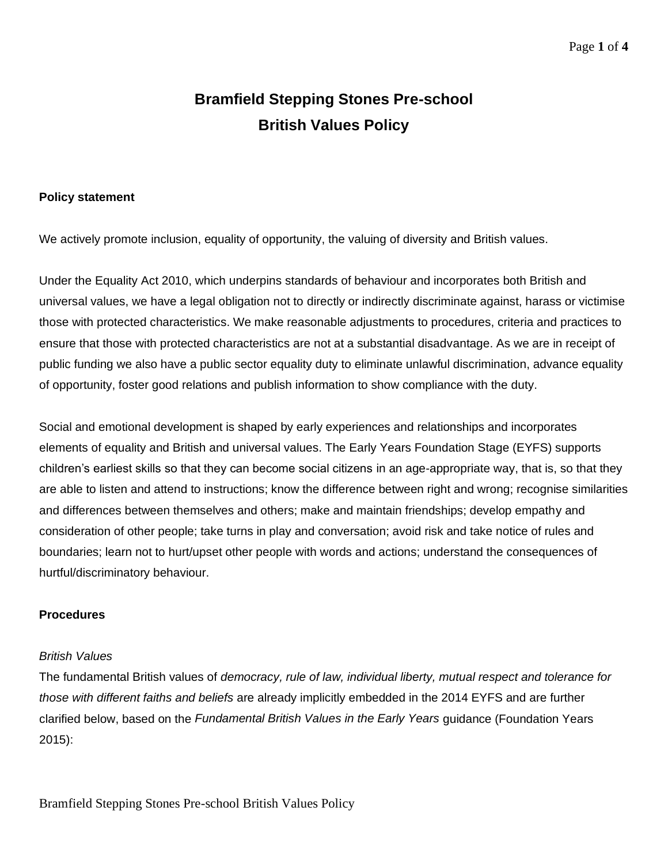# **Bramfield Stepping Stones Pre-school British Values Policy**

## **Policy statement**

We actively promote inclusion, equality of opportunity, the valuing of diversity and British values.

Under the Equality Act 2010, which underpins standards of behaviour and incorporates both British and universal values, we have a legal obligation not to directly or indirectly discriminate against, harass or victimise those with protected characteristics. We make reasonable adjustments to procedures, criteria and practices to ensure that those with protected characteristics are not at a substantial disadvantage. As we are in receipt of public funding we also have a public sector equality duty to eliminate unlawful discrimination, advance equality of opportunity, foster good relations and publish information to show compliance with the duty.

Social and emotional development is shaped by early experiences and relationships and incorporates elements of equality and British and universal values. The Early Years Foundation Stage (EYFS) supports children's earliest skills so that they can become social citizens in an age-appropriate way, that is, so that they are able to listen and attend to instructions; know the difference between right and wrong; recognise similarities and differences between themselves and others; make and maintain friendships; develop empathy and consideration of other people; take turns in play and conversation; avoid risk and take notice of rules and boundaries; learn not to hurt/upset other people with words and actions; understand the consequences of hurtful/discriminatory behaviour.

### **Procedures**

#### *British Values*

The fundamental British values of *democracy, rule of law, individual liberty, mutual respect and tolerance for those with different faiths and beliefs* are already implicitly embedded in the 2014 EYFS and are further clarified below, based on the *Fundamental British Values in the Early Years* guidance (Foundation Years 2015):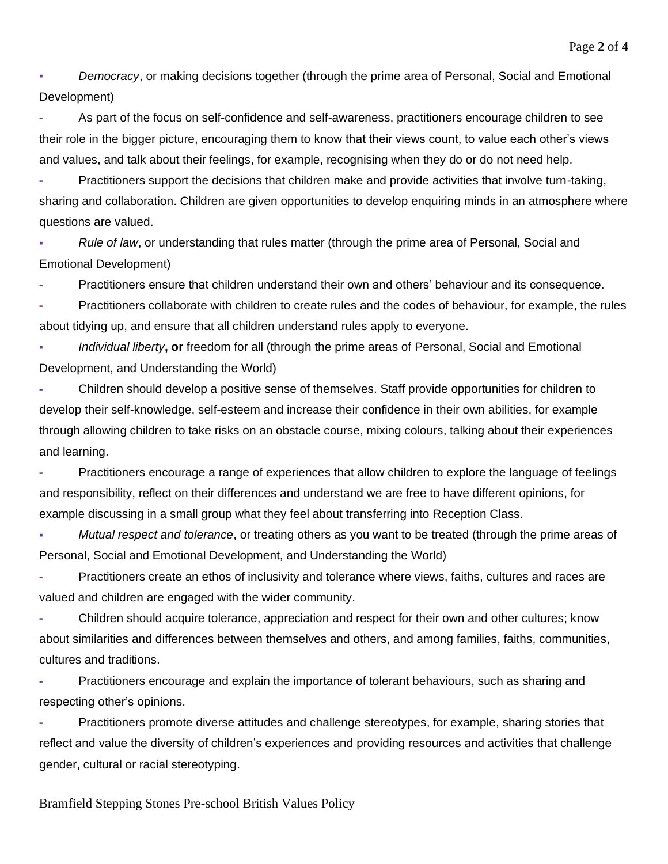▪ *Democracy*, or making decisions together (through the prime area of Personal, Social and Emotional Development)

**-** As part of the focus on self-confidence and self-awareness, practitioners encourage children to see their role in the bigger picture, encouraging them to know that their views count, to value each other's views and values, and talk about their feelings, for example, recognising when they do or do not need help.

**-** Practitioners support the decisions that children make and provide activities that involve turn-taking, sharing and collaboration. Children are given opportunities to develop enquiring minds in an atmosphere where questions are valued.

**▪** *Rule of law*, or understanding that rules matter (through the prime area of Personal, Social and Emotional Development)

**-** Practitioners ensure that children understand their own and others' behaviour and its consequence.

**-** Practitioners collaborate with children to create rules and the codes of behaviour, for example, the rules about tidying up, and ensure that all children understand rules apply to everyone.

*Individual liberty*, or freedom for all (through the prime areas of Personal, Social and Emotional Development, and Understanding the World)

**-** Children should develop a positive sense of themselves. Staff provide opportunities for children to develop their self-knowledge, self-esteem and increase their confidence in their own abilities, for example through allowing children to take risks on an obstacle course, mixing colours, talking about their experiences and learning.

**-** Practitioners encourage a range of experiences that allow children to explore the language of feelings and responsibility, reflect on their differences and understand we are free to have different opinions, for example discussing in a small group what they feel about transferring into Reception Class.

*Mutual respect and tolerance*, or treating others as you want to be treated (through the prime areas of Personal, Social and Emotional Development, and Understanding the World)

**-** Practitioners create an ethos of inclusivity and tolerance where views, faiths, cultures and races are valued and children are engaged with the wider community.

**-** Children should acquire tolerance, appreciation and respect for their own and other cultures; know about similarities and differences between themselves and others, and among families, faiths, communities, cultures and traditions.

**-** Practitioners encourage and explain the importance of tolerant behaviours, such as sharing and respecting other's opinions.

**-** Practitioners promote diverse attitudes and challenge stereotypes, for example, sharing stories that reflect and value the diversity of children's experiences and providing resources and activities that challenge gender, cultural or racial stereotyping.

Bramfield Stepping Stones Pre-school British Values Policy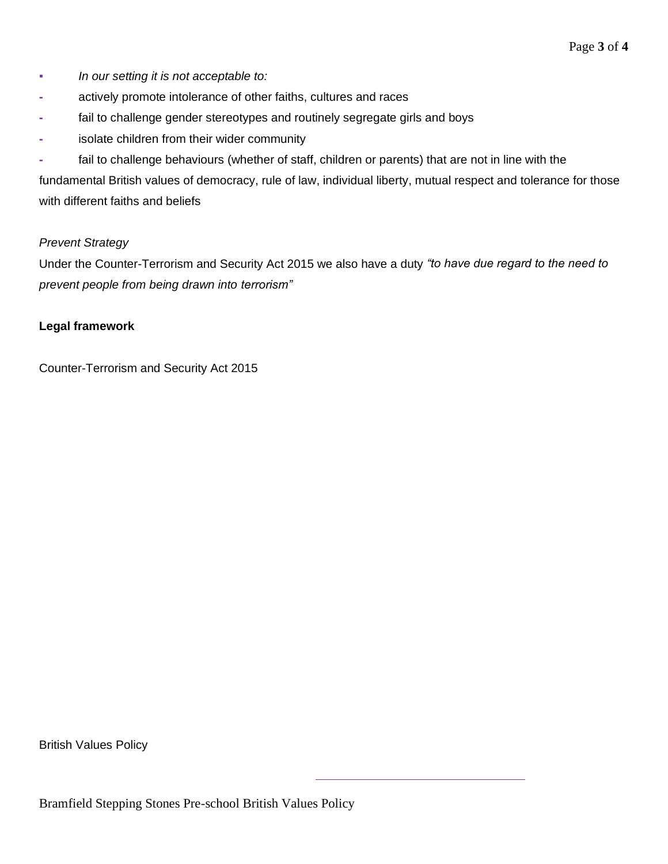- *In our setting it is not acceptable to:*
- **-** actively promote intolerance of other faiths, cultures and races
- **-** fail to challenge gender stereotypes and routinely segregate girls and boys
- **-** isolate children from their wider community
- **-** fail to challenge behaviours (whether of staff, children or parents) that are not in line with the

fundamental British values of democracy, rule of law, individual liberty, mutual respect and tolerance for those with different faiths and beliefs

## *Prevent Strategy*

Under the Counter-Terrorism and Security Act 2015 we also have a duty *"to have due regard to the need to prevent people from being drawn into terrorism"*

## **Legal framework**

Counter-Terrorism and Security Act 2015

British Values Policy